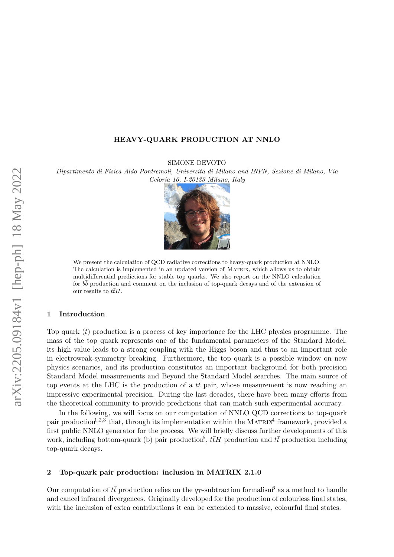# HEAVY-QUARK PRODUCTION AT NNLO

SIMONE DEVOTO

Dipartimento di Fisica Aldo Pontremoli, Università di Milano and INFN, Sezione di Milano, Via Celoria 16, I-20133 Milano, Italy



We present the calculation of QCD radiative corrections to heavy-quark production at NNLO. The calculation is implemented in an updated version of MATRIX, which allows us to obtain multidifferential predictions for stable top quarks. We also report on the NNLO calculation for  $b\bar{b}$  production and comment on the inclusion of top-quark decays and of the extension of our results to  $t\bar{t}H$ .

#### 1 Introduction

Top quark (t) production is a process of key importance for the LHC physics programme. The mass of the top quark represents one of the fundamental parameters of the Standard Model: its high value leads to a strong coupling with the Higgs boson and thus to an important role in electroweak-symmetry breaking. Furthermore, the top quark is a possible window on new physics scenarios, and its production constitutes an important background for both precision Standard Model measurements and Beyond the Standard Model searches. The main source of top events at the LHC is the production of a  $t\bar{t}$  pair, whose measurement is now reaching an impressive experimental precision. During the last decades, there have been many efforts from the theoretical community to provide predictions that can match such experimental accuracy.

In the following, we will focus on our computation of NNLO QCD corrections to top-quark pair production<sup>[1](#page-3-0),[2](#page-3-1),[3](#page-3-2)</sup> that, through its implementation within the MATRIX<sup>[4](#page-3-3)</sup> framework, provided a first public NNLO generator for the process. We will briefly discuss further developments of this work, including bottom-quark (b) pair production<sup>[5](#page-3-4)</sup>,  $t\bar{t}H$  production and  $t\bar{t}$  production including top-quark decays.

### 2 Top-quark pair production: inclusion in MATRIX 2.1.0

Our computation of  $t\bar{t}$  production relies on the  $q\tau$ -subtraction formalism<sup>[6](#page-3-5)</sup> as a method to handle and cancel infrared divergences. Originally developed for the production of colourless final states, with the inclusion of extra contributions it can be extended to massive, colourful final states.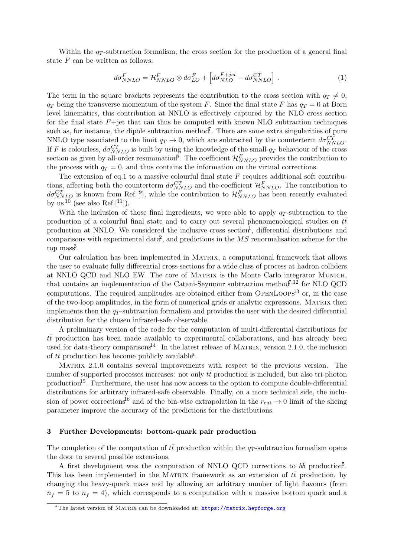Within the  $q_T$ -subtraction formalism, the cross section for the production of a general final state  $F$  can be written as follows:

<span id="page-1-0"></span>
$$
d\sigma_{NNLO}^F = \mathcal{H}_{NNLO}^F \otimes d\sigma_{LO}^F + \left[ d\sigma_{NLO}^{F+jet} - d\sigma_{NNLO}^{CT} \right] \,. \tag{1}
$$

The term in the square brackets represents the contribution to the cross section with  $q_T \neq 0$ ,  $q_T$  being the transverse momentum of the system F. Since the final state F has  $q_T = 0$  at Born level kinematics, this contribution at NNLO is effectively captured by the NLO cross section for the final state  $F+$  jet that can thus be computed with known NLO subtraction techniques such as, for instance, the dipole subtraction method<sup> $7$ </sup>. There are some extra singularities of pure NNLO type associated to the limit  $q_T \to 0$ , which are subtracted by the counterterm  $d\sigma_{NNLO}^{CT}$ . If F is colourless,  $d\sigma_{NNLO}^{CT}$  is built by using the knowledge of the small- $q_T$  behaviour of the cross section as given by all-order resummation<sup>[8](#page-3-7)</sup>. The coefficient  $\mathcal{H}_{NNLO}^F$  provides the contribution to the process with  $q_T = 0$ , and thus contains the information on the virtual corrections.

The extension of eq[.1](#page-1-0) to a massive colourful final state  $F$  requires additional soft contributions, affecting both the counterterm  $d\sigma_{NNLO}^{CT}$  and the coefficient  $\mathcal{H}_{NNLO}^F$ . The contribution to  $d\sigma_{NNLO}^{CT}$  is known from Ref.<sup>[[9](#page-3-8)</sup>], while the contribution to  $\mathcal{H}_{NNLO}^F$  has been recently evaluated by us  $^{10}$  $^{10}$  $^{10}$  (see also Ref.<sup>[[11](#page-3-10)</sup>]).

With the inclusion of those final ingredients, we were able to apply  $q_T$ -subtraction to the production of a colourful final state and to carry out several phenomenological studies on  $t\bar{t}$ production at NNLO. We considered the inclusive cross section<sup>[1](#page-3-0)</sup>, differential distributions and comparisons with experimental data<sup>[2](#page-3-1)</sup>, and predictions in the  $\overline{MS}$  renormalisation scheme for the  $top$  mass<sup>[3](#page-3-2)</sup>.

Our calculation has been implemented in Matrix, a computational framework that allows the user to evaluate fully differential cross sections for a wide class of process at hadron colliders at NNLO QCD and NLO EW. The core of Matrix is the Monte Carlo integrator Munich, that contains an implementation of the Catani-Seymour subtraction method<sup> $7,12$  $7,12$  $7,12$ </sup> for NLO QCD computations. The required amplitudes are obtained either from  $OPENLOOPS<sup>13</sup>$  $OPENLOOPS<sup>13</sup>$  $OPENLOOPS<sup>13</sup>$  or, in the case of the two-loop amplitudes, in the form of numerical grids or analytic expressions. Matrix then implements then the  $q_T$ -subtraction formalism and provides the user with the desired differential distribution for the chosen infrared-safe observable.

A preliminary version of the code for the computation of multi-differential distributions for  $t\bar{t}$  production has been made available to experimental collaborations, and has already been used for data-theory comparisons<sup>[14](#page-3-13)</sup>. In the latest release of MATRIX, version 2.1.0, the inclusion of  $t\bar{t}$  $t\bar{t}$  $t\bar{t}$  production has become publicly available<sup>*d*</sup>.

Matrix 2.1.0 contains several improvements with respect to the previous version. The number of supported processes increases: not only  $t\bar{t}$  production is included, but also tri-photon production<sup>[15](#page-3-14)</sup>. Furthermore, the user has now access to the option to compute double-differential distributions for arbitrary infrared-safe observable. Finally, on a more technical side, the inclu-sion of power corrections<sup>[16](#page-3-15)</sup> and of the bin-wise extrapolation in the  $r_{\text{cut}} \rightarrow 0$  limit of the slicing parameter improve the accuracy of the predictions for the distributions.

## <span id="page-1-2"></span>3 Further Developments: bottom-quark pair production

The completion of the computation of  $t\bar{t}$  production within the  $q_T$ -subtraction formalism opens the door to several possible extensions.

A first development was the computation of NNLO QCD corrections to  $b\bar{b}$  production<sup>[5](#page-3-4)</sup>. This has been implemented in the MATRIX framework as an extension of  $t\bar{t}$  production, by changing the heavy-quark mass and by allowing an arbitrary number of light flavours (from  $n_f = 5$  to  $n_f = 4$ ), which corresponds to a computation with a massive bottom quark and a

<span id="page-1-1"></span><sup>&</sup>lt;sup>a</sup>The latest version of MATRIX can be downloaded at:  $\frac{h}{h}$  <https://matrix.hepforge.org>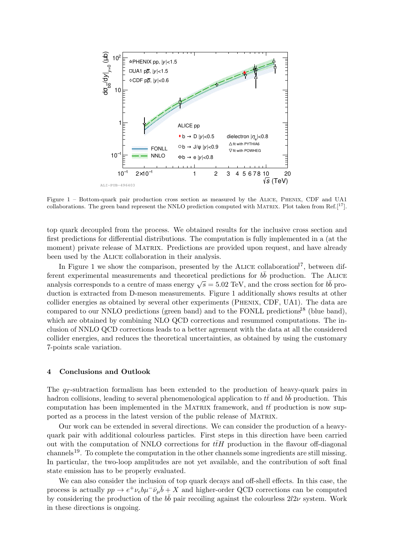

Figure 1 – Bottom-quark pair production cross section as measured by the Alice, Phenix, CDF and UA1 collaborations. The green band represent the NNLO prediction computed with MATRIX. Plot taken from Ref. $[17]$  $[17]$  $[17]$ .

top quark decoupled from the process. We obtained results for the inclusive cross section and first predictions for differential distributions. The computation is fully implemented in a (at the moment) private release of MATRIX. Predictions are provided upon request, and have already been used by the Alice collaboration in their analysis.

In Figure [1](#page-1-2) we show the comparison, presented by the ALICE collaboration<sup>[17](#page-3-16)</sup>, between different experimental measurements and theoretical predictions for  $b\bar{b}$  production. The ALICE effective experimental measurements and theoretical predictions for *bo* production. The ALICE analysis corresponds to a centre of mass energy  $\sqrt{s} = 5.02 \text{ TeV}$ , and the cross section for  $b\bar{b}$  production is extracted from D-meson measurements. Figure [1](#page-1-2) additionally shows results at other collider energies as obtained by several other experiments (Phenix, CDF, UA1). The data are compared to our NNLO predictions (green band) and to the FONLL predictions<sup>[18](#page-3-17)</sup> (blue band), which are obtained by combining NLO QCD corrections and resummed computations. The inclusion of NNLO QCD corrections leads to a better agrement with the data at all the considered collider energies, and reduces the theoretical uncertainties, as obtained by using the customary 7-points scale variation.

### 4 Conclusions and Outlook

The  $q_T$ -subtraction formalism has been extended to the production of heavy-quark pairs in hadron collisions, leading to several phenomenological application to  $t\bar{t}$  and  $b\bar{b}$  production. This computation has been implemented in the MATRIX framework, and  $t\bar{t}$  production is now supported as a process in the latest version of the public release of MATRIX.

Our work can be extended in several directions. We can consider the production of a heavyquark pair with additional colourless particles. First steps in this direction have been carried out with the computation of NNLO corrections for  $t\bar{t}H$  production in the flavour off-diagonal channels<sup>[19](#page-3-18)</sup>. To complete the computation in the other channels some ingredients are still missing. In particular, the two-loop amplitudes are not yet available, and the contribution of soft final state emission has to be properly evaluated.

We can also consider the inclusion of top quark decays and off-shell effects. In this case, the process is actually  $pp \to e^+ \nu_e b \mu^- \bar{\nu}_\mu \bar{b} + X$  and higher-order QCD corrections can be computed by considering the production of the  $b\bar{b}$  pair recoiling against the colourless  $2l2\nu$  system. Work in these directions is ongoing.